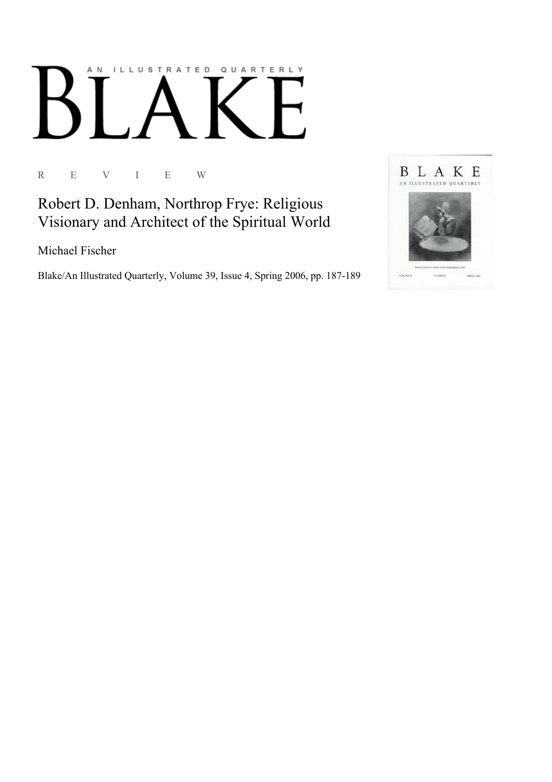# AN ILLUSTRATED QUARTERLY

R E V I E W

Robert D. Denham, Northrop Frye: Religious Visionary and Architect of the Spiritual World

Michael Fischer

Blake/An Illustrated Quarterly, Volume 39, Issue 4, Spring 2006, pp. 187-189

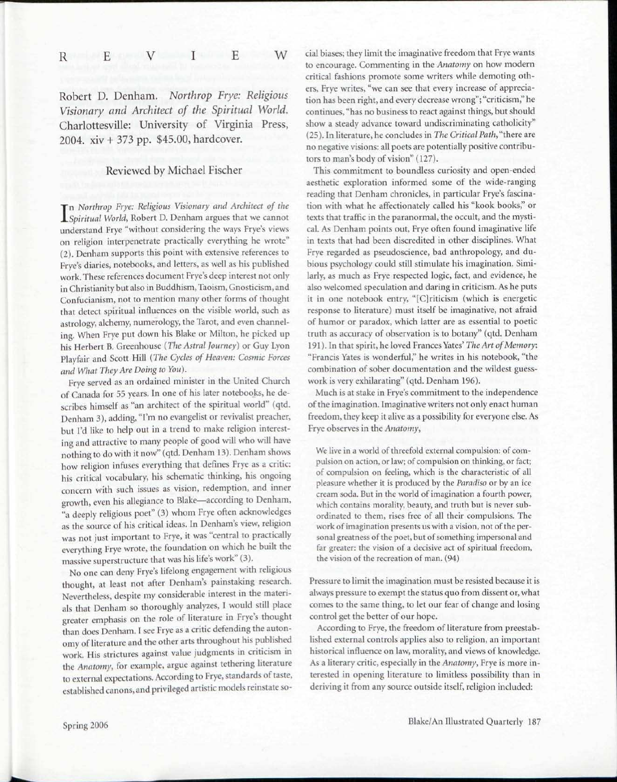Robert D. Denham. *Northrop Frye: Religious Visionary and Architect of the Spiritual World.*  Charlottesville: University of Virginia Press, 2004. xiv + 373 pp. \$45.00, hardcover.

### Reviewed by Michael Fischer

**I**n *Northrop Frye: Religious Visionary and Architect of the Spiritual World*, Robert D. Denham argues that we cannot n *Northrop Frye: Religious Visionary and Architect of the*  understand Frye "without considering the ways Frye's views on religion interpenetrate practically everything he wrote" (2). Denham supports this point with extensive references to Frye's diaries, notebooks, and letters, as well as his published work. These references document Frye's deep interest not only in Christianity but also in Buddhism, Taoism, Gnosticism, and Confucianism, not to mention many other forms of thought that detect spiritual influences on the visible world, such as astrology, alchemy, numerology, the Tarot, and even channeling. When Frye put down his Blake or Milton, he picked up his Herbert B. Greenhouse *(The Astral Journey)* or Guy Lyon Flayfair and Scott Hill *(The Cycles of Heaven: Cosmic Forces and What They Are Doing to You).* 

Frye served as an ordained minister in the United Church of Canada for 55 years. In one of his later notebooks, he describes himself as "an architect of the spiritual world" (qtd. Denham 3), adding, "I'm no evangelist or revivalist preacher, but I'd like to help out in a trend to make religion interesting and attractive to many people of good will who will have nothing to do with it now" (qtd. Denham 13). Denham shows how religion infuses everything that defines Frye as a critic: his critical vocabulary, his schematic thinking, his ongoing concern with such issues as vision, redemption, and inner growth, even his allegiance to Blake—according to Denham, "a deeply religious poet" (3) whom Frye often acknowledges as the source of his critical ideas. In Denham's view, religion was not just important to Frye, it was "central to practically everything Frye wrote, the foundation on which he built the massive superstructure that was his life's work" (3).

No one can deny Frye's lifelong engagement with religious thought, at least not after Denham's painstaking research. Nevertheless, despite my considerable interest in the materials that Denham so thoroughly analyzes, I would still place greater emphasis on the role of literature in Frye's thought than does Denham. I see Frye as a critic defending the autonomy of literature and the other arts throughout his published work. His strictures against value judgments in criticism in the *Anatomy,* for example, argue against tethering literature to external expectations. According to Frye, standards of taste, established canons, and privileged artistic models reinstate social biases; they limit the imaginative freedom that Frye wants to encourage. Commenting in the *Anatomy* on how modern critical fashions promote some writers while demoting others, Frye writes, "we can see that every increase of appreciation has been right, and every decrease wrong"; "criticism," he continues, "has no business to react against things, but should show a steady advance toward undiscriminating catholicity" (25). In literature, he concludes in *The Critical Path,* "there are no negative visions: all poets are potentially positive contributors to man's body of vision" (127).

This commitment to boundless curiosity and open-ended aesthetic exploration informed some of the wide-ranging reading that Denham chronicles, in particular Frye's fascination with what he affectionately called his "kook books," or texts that traffic in the paranormal, the occult, and the mystical. As Denham points out, Frye often found imaginative life in texts that had been discredited in other disciplines. What Frye regarded as pseudoscience, bad anthropology, and dubious psychology could still stimulate his imagination. Similarly, as much as Frye respected logic, fact, and evidence, he also welcomed speculation and daring in criticism. As he puts it in one notebook entry, "[C]riticism (which is energetic response to literature) must itself be imaginative, not afraid of humor or paradox, which latter are as essential to poetic truth as accuracy of observation is to botany" (qtd. Denham 191). In that spirit, he loved Frances Yates' *The Art of Memory:*  "Francis Yates is wonderful," he writes in his notebook, "the combination of sober documentation and the wildest guesswork is very exhilarating" (qtd. Denham 196).

Much is at stake in Frye's commitment to the independence of the imagination. Imaginative writers not only enact human freedom, they keep it alive as a possibility for everyone else. As Frye observes in the *Anatomy,* 

We live in a world of threefold external compulsion: of compulsion on action, or law; of compulsion on thinking, or fact; of compulsion on feeling, which is the characteristic of all pleasure whether it is produced by the *Paradiso* or by an ice cream soda. But in the world of imagination a fourth power, which contains morality, beauty, and truth but is never subordinated to them, rises free of all their compulsions. The work of imagination presents us with a vision, not of the personal greatness of the poet, but of something impersonal and far greater: the vision of a decisive act of spiritual freedom, the vision of the recreation of man. (94)

Pressure to limit the imagination must be resisted because it is always pressure to exempt the status quo from dissent or, what comes to the same thing, to let our fear of change and losing control get the better of our hope.

According to Frye, the freedom of literature from preestablished external controls applies also to religion, an important historical influence on law, morality, and views of knowledge. As a literary critic, especially in the *Anatomy,* Frye is more interested in opening literature to limitless possibility than in deriving it from any source outside itself, religion included: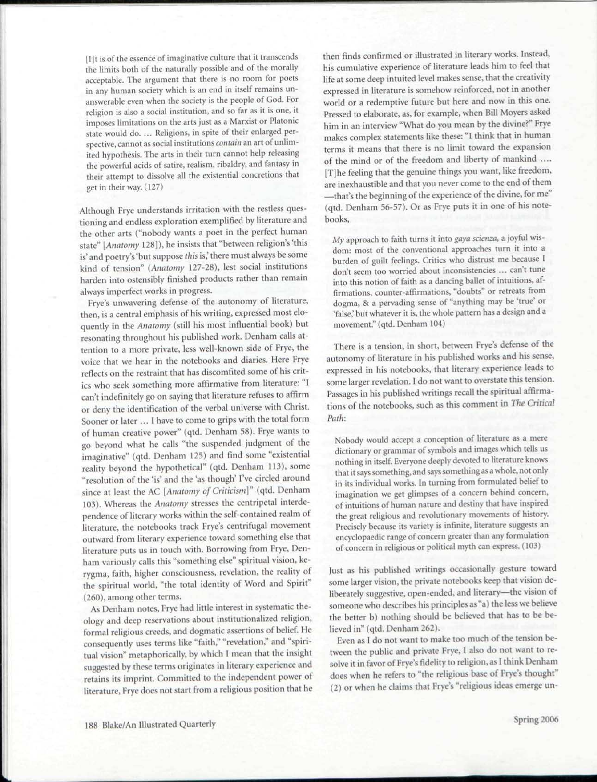[I]t is of the essence of imaginative culture that it transcends the limits both of the naturally possible and of the morally acceptable. The argument that there is no room for poets in any human society which is an end in itself remains unanswerable even when the society is the people of God. For religion is also a social institution, and so far as it is one, it imposes limitations on the arts just as a Marxist or Platonic state would do. ... Religions, in spite of their enlarged perspective, cannot as social institutions *contain* an art of unlimited hypothesis. The arts in their turn cannot help releasing the powerful acids of satire, realism, ribaldry, and fantasy in their attempt to dissolve all the existential concretions that get in their way. (127)

Although Frye understands irritation with the restless questioning and endless exploration exemplified by literature and the other arts ("nobody wants a poet in the perfect human state" [Anatomy 128]), he insists that "between religion's 'this is' and poetry's 'but suppose *this* is,' there must always be some kind of tension" *{Anatomy* 127-28), lest social institutions harden into ostensibly finished products rather than remain always imperfect works in progress.

Frye's unwavering defense of the autonomy of literature, then, is a central emphasis of his writing, expressed most eloquently in the *Anatomy* (still his most influential book) but resonating throughout his published work. Denham calls attention to a more private, less well-known side of Frye, the voice that we hear in the notebooks and diaries. Here Frye reflects on the restraint that has discomfited some of his critics who seek something more affirmative from literature: "I can't indefinitely go on saying that literature refuses to affirm or deny the identification of the verbal universe with Christ. Sooner or later ... I have to come to grips with the total form of human creative power" (qtd. Denham 58). Frye wants to go beyond what he calls "the suspended judgment of the imaginative" (qtd. Denham 125) and find some "existential reality beyond the hypothetical" (qtd. Denham 113), some "resolution of the 'is' and the 'as though' I've circled around since at least the AC *[Anatomy of Criticism]"* (qtd. Denham 103). Whereas the *Anatomy* stresses the centripetal interdependence of literary works within the self-contained realm of literature, the notebooks track Frye's centrifugal movement outward from literary experience toward something else that literature puts us in touch with. Borrowing from Frye, Denham variously calls this "something else" spiritual vision, kerygma, faith, higher consciousness, revelation, the reality of the spiritual world, "the total identity of Word and Spirit" (260), among other terms.

As Denham notes, Frye had little interest in systematic theology and deep reservations about institutionalized religion, formal religious creeds, and dogmatic assertions of belief. He consequently uses terms like "faith," "revelation," and "spiritual vision" metaphorically, by which I mean that the insight suggested by these terms originates in literary experience and retains its imprint. Committed to the independent power of literature, Frye does not start from a religious position that he then finds confirmed or illustrated in literary works. Instead, his cumulative experience of literature leads him to feel that life at some deep intuited level makes sense, that the creativity expressed in literature is somehow reinforced, not in another world or a redemptive future but here and now in this one. Pressed to elaborate, as, for example, when Bill Movers asked him in an interview "What do you mean by the divine?" Frye makes complex statements like these: "I think that in human terms it means that there is no limit toward the expansion of the mind or of the freedom and liberty of mankind .... [T]he feeling that the genuine things you want, like freedom, are inexhaustible and that you never come to the end of them —that's the beginning of the experience of the divine, for me" (qtd. Denham 56-57). Or as Frye puts it in one of his notebooks,

*My* approach to faith turns it into *gaya scienza,* a joyful wisdom: most of the conventional approaches turn it into a burden of guilt feelings. Critics who distrust me because I don't seem too worried about inconsistencies ... can't tune into this notion of faith as a dancing ballet of intuitions, affirmations, counter-affirmations, "doubts" or retreats from dogma, & a pervading sense of "anything may be 'true' or 'false,' but whatever it is, the whole pattern has a design and a movement." (qtd. Denham 104)

There is a tension, in short, between Frye's defense of the autonomy of literature in his published works and his sense, expressed in his notebooks, that literary experience leads to some larger revelation. I do not want to overstate this tension. Passages in his published writings recall the spiritual affirmations of the notebooks, such as this comment in *The Critical Putlr.* 

Nobody would accept a conception of literature as a mere dictionary or grammar of symbols and images which tells us nothing in itself. Everyone deeply devoted to literature knows that it says something, and says something as a whole, not only in its individual works. In turning from formulated belief to imagination we get glimpses of a concern behind concern, of intuitions of human nature and destiny that have inspired the great religious and revolutionary movements of history. Precisely because its variety is infinite, literature suggests an encyclopaedic range of concern greater than any formulation of concern in religious or political myth can express. (103)

lust as his published writings occasionally gesture toward some larger vision, the private notebooks keep that vision deliberately suggestive, open-ended, and literary—the vision ot someone who describes his principles as "a) the less we believe the better b) nothing should be believed that has to be believed in" (qtd. Denham 262).

Even as I do not want to make too much of the tension between the public and private Frye, I also do not want to resolve it in favor of Frye's fidelity to religion, as I think Denham does when he refers to "the religious base of Frye's thought" (2) or when he claims that Frye's "religious ideas emerge un